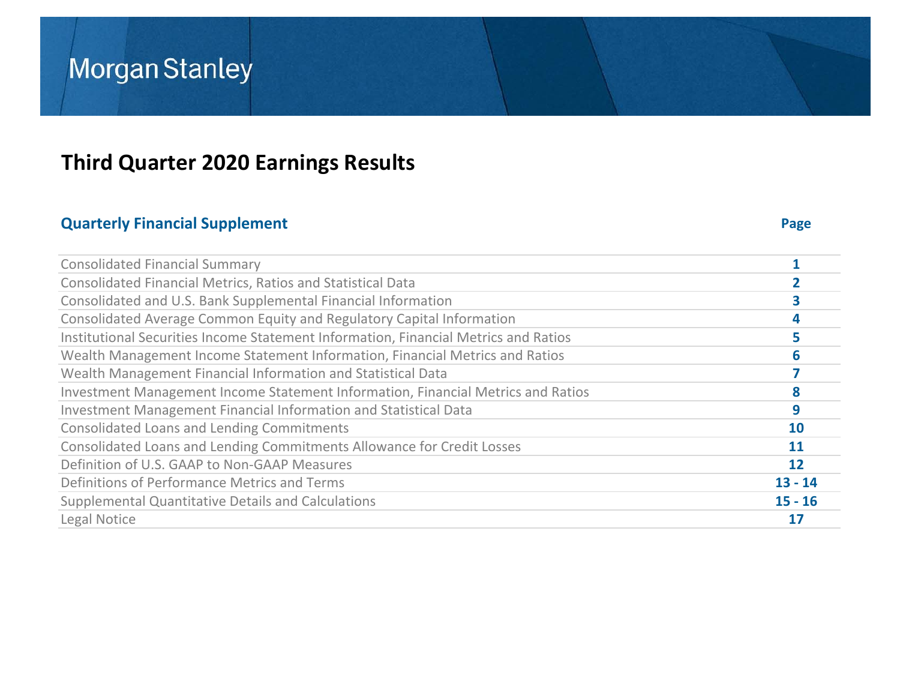## **Third Quarter 2020 Earnings Results**

## **Quarterly Financial Supplement Page**

| <b>Consolidated Financial Summary</b>                                               |           |
|-------------------------------------------------------------------------------------|-----------|
| <b>Consolidated Financial Metrics, Ratios and Statistical Data</b>                  |           |
| Consolidated and U.S. Bank Supplemental Financial Information                       |           |
| Consolidated Average Common Equity and Regulatory Capital Information               | 4         |
| Institutional Securities Income Statement Information, Financial Metrics and Ratios | 5         |
| Wealth Management Income Statement Information, Financial Metrics and Ratios        | 6         |
| Wealth Management Financial Information and Statistical Data                        |           |
| Investment Management Income Statement Information, Financial Metrics and Ratios    | 8         |
| Investment Management Financial Information and Statistical Data                    | 9         |
| <b>Consolidated Loans and Lending Commitments</b>                                   | 10        |
| Consolidated Loans and Lending Commitments Allowance for Credit Losses              | <b>11</b> |
| Definition of U.S. GAAP to Non-GAAP Measures                                        | 12        |
| Definitions of Performance Metrics and Terms                                        | $13 - 14$ |
| <b>Supplemental Quantitative Details and Calculations</b>                           | $15 - 16$ |
| Legal Notice                                                                        | 17        |
|                                                                                     |           |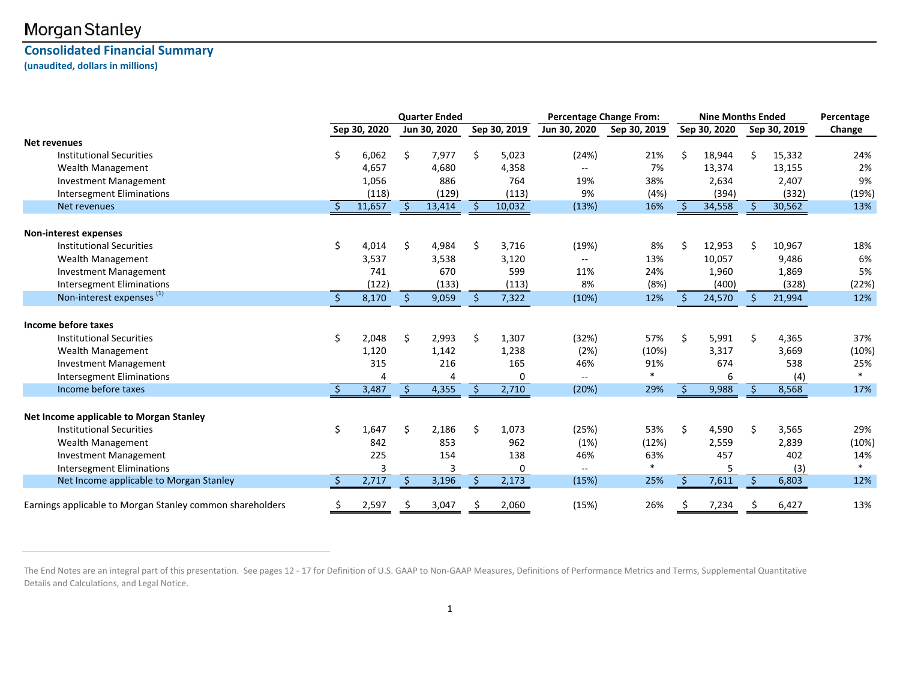### **Consolidated Financial Summary (unaudited, dollars in millions)**

|                                                           |              |     | <b>Quarter Ended</b> |    |              |                          | <b>Percentage Change From:</b> |     |              | <b>Nine Months Ended</b> |              | Percentage |
|-----------------------------------------------------------|--------------|-----|----------------------|----|--------------|--------------------------|--------------------------------|-----|--------------|--------------------------|--------------|------------|
|                                                           | Sep 30, 2020 |     | Jun 30, 2020         |    | Sep 30, 2019 | Jun 30, 2020             | Sep 30, 2019                   |     | Sep 30, 2020 |                          | Sep 30, 2019 | Change     |
| <b>Net revenues</b>                                       |              |     |                      |    |              |                          |                                |     |              |                          |              |            |
| Institutional Securities                                  | 6,062        | \$. | 7,977                | \$ | 5,023        | (24%)                    | 21%                            | Ś   | 18,944       | Ś.                       | 15,332       | 24%        |
| <b>Wealth Management</b>                                  | 4.657        |     | 4,680                |    | 4,358        | $\overline{a}$           | 7%                             |     | 13,374       |                          | 13,155       | 2%         |
| <b>Investment Management</b>                              | 1,056        |     | 886                  |    | 764          | 19%                      | 38%                            |     | 2,634        |                          | 2,407        | 9%         |
| <b>Intersegment Eliminations</b>                          | (118)        |     | (129)                |    | (113)        | 9%                       | (4%)                           |     | (394)        |                          | (332)        | (19%)      |
| Net revenues                                              | 11,657       |     | 13,414               |    | 10,032       | (13%)                    | 16%                            |     | 34,558       |                          | 30,562       | 13%        |
| <b>Non-interest expenses</b>                              |              |     |                      |    |              |                          |                                |     |              |                          |              |            |
| <b>Institutional Securities</b>                           | 4,014        | \$  | 4,984                | \$ | 3,716        | (19%)                    | 8%                             | Ś   | 12,953       | Ś                        | 10,967       | 18%        |
| Wealth Management                                         | 3,537        |     | 3,538                |    | 3,120        | $\mathbf{u}$             | 13%                            |     | 10,057       |                          | 9,486        | 6%         |
| <b>Investment Management</b>                              | 741          |     | 670                  |    | 599          | 11%                      | 24%                            |     | 1,960        |                          | 1,869        | 5%         |
| <b>Intersegment Eliminations</b>                          | (122)        |     | (133)                |    | (113)        | 8%                       | (8%)                           |     | (400)        |                          | (328)        | (22%)      |
| Non-interest expenses <sup>(1)</sup>                      | 8,170        | Ŝ.  | 9,059                |    | 7,322        | (10%)                    | 12%                            |     | 24,570       |                          | 21,994       | 12%        |
| Income before taxes                                       |              |     |                      |    |              |                          |                                |     |              |                          |              |            |
| <b>Institutional Securities</b>                           | 2,048        | \$  | 2,993                | \$ | 1,307        | (32%)                    | 57%                            | Ś   | 5,991        | \$                       | 4,365        | 37%        |
| <b>Wealth Management</b>                                  | 1,120        |     | 1,142                |    | 1,238        | (2%)                     | (10%)                          |     | 3,317        |                          | 3,669        | (10%)      |
| <b>Investment Management</b>                              | 315          |     | 216                  |    | 165          | 46%                      | 91%                            |     | 674          |                          | 538          | 25%        |
| <b>Intersegment Eliminations</b>                          |              |     |                      |    | 0            |                          | $\ast$                         |     | 6            |                          | (4)          | $\ast$     |
| Income before taxes                                       | 3,487        | Ŝ.  | 4,355                |    | 2,710        | (20%)                    | 29%                            |     | 9,988        |                          | 8,568        | 17%        |
| Net Income applicable to Morgan Stanley                   |              |     |                      |    |              |                          |                                |     |              |                          |              |            |
| <b>Institutional Securities</b>                           | 1,647        |     | 2,186                | Ŝ. | 1,073        | (25%)                    | 53%                            | Ś   | 4,590        | \$                       | 3,565        | 29%        |
| Wealth Management                                         | 842          |     | 853                  |    | 962          | (1%)                     | (12%)                          |     | 2,559        |                          | 2,839        | (10%)      |
| <b>Investment Management</b>                              | 225          |     | 154                  |    | 138          | 46%                      | 63%                            |     | 457          |                          | 402          | 14%        |
| <b>Intersegment Eliminations</b>                          |              |     |                      |    | 0            | $\overline{\phantom{a}}$ | $\ast$                         |     | 5            |                          | (3)          | $\ast$     |
| Net Income applicable to Morgan Stanley                   | 2,717        |     | 3,196                |    | 2,173        | (15%)                    | 25%                            |     | 7,611        |                          | 6,803        | 12%        |
| Earnings applicable to Morgan Stanley common shareholders | 2,597        | \$. | 3,047                |    | 2,060        | (15%)                    | 26%                            | \$. | 7,234        | \$.                      | 6,427        | 13%        |

The End Notes are an integral part of this presentation. See pages 12 - 17 for Definition of U.S. GAAP to Non‐GAAP Measures, Definitions of Performance Metrics and Terms, Supplemental Quantitative Details and Calculations, and Legal Notice.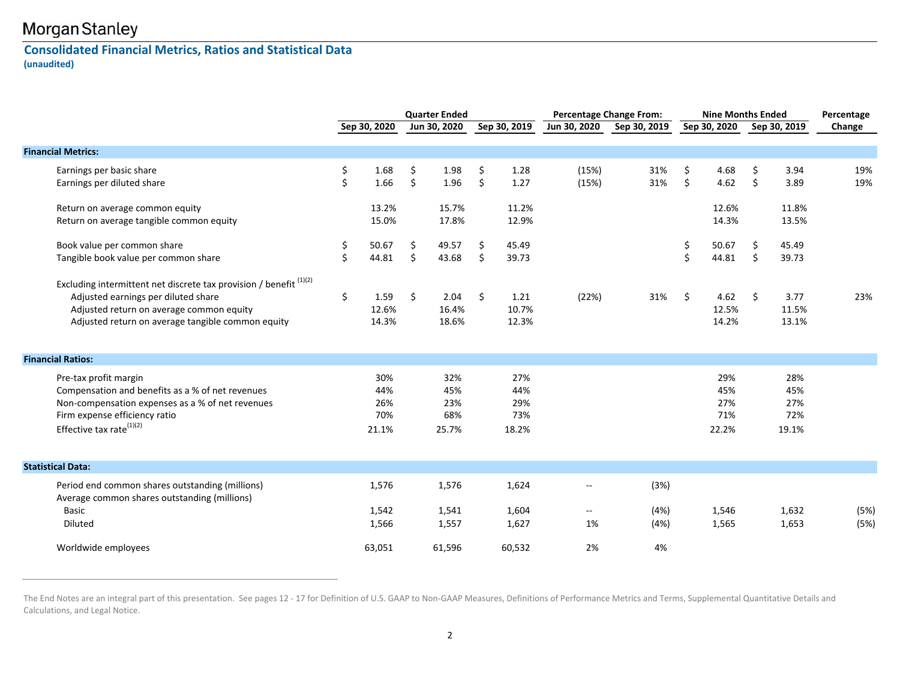### **Consolidated Financial Metrics, Ratios and Statistical Data (unaudited)**

|                                                                                                                                                                                                            | <b>Quarter Ended</b> |                                   | <b>Percentage Change From:</b> |                                   |          | <b>Nine Months Ended</b>          |                                                            | Percentage           |          |                                   |          |                                   |              |
|------------------------------------------------------------------------------------------------------------------------------------------------------------------------------------------------------------|----------------------|-----------------------------------|--------------------------------|-----------------------------------|----------|-----------------------------------|------------------------------------------------------------|----------------------|----------|-----------------------------------|----------|-----------------------------------|--------------|
|                                                                                                                                                                                                            |                      | Sep 30, 2020                      |                                | Jun 30, 2020                      |          | Sep 30, 2019                      | Jun 30, 2020                                               | Sep 30, 2019         |          | Sep 30, 2020                      |          | Sep 30, 2019                      | Change       |
| <b>Financial Metrics:</b>                                                                                                                                                                                  |                      |                                   |                                |                                   |          |                                   |                                                            |                      |          |                                   |          |                                   |              |
| Earnings per basic share<br>Earnings per diluted share                                                                                                                                                     | \$<br>\$             | 1.68<br>1.66                      | \$<br>\$                       | 1.98<br>1.96                      | \$<br>\$ | 1.28<br>1.27                      | (15%)<br>(15%)                                             | 31%<br>31%           | \$<br>\$ | 4.68<br>4.62                      | \$<br>\$ | 3.94<br>3.89                      | 19%<br>19%   |
| Return on average common equity<br>Return on average tangible common equity                                                                                                                                |                      | 13.2%<br>15.0%                    |                                | 15.7%<br>17.8%                    |          | 11.2%<br>12.9%                    |                                                            |                      |          | 12.6%<br>14.3%                    |          | 11.8%<br>13.5%                    |              |
| Book value per common share<br>Tangible book value per common share                                                                                                                                        | \$<br>\$             | 50.67<br>44.81                    | \$<br>\$                       | 49.57<br>43.68                    | \$<br>\$ | 45.49<br>39.73                    |                                                            |                      | \$<br>\$ | 50.67<br>44.81                    | \$<br>\$ | 45.49<br>39.73                    |              |
| Excluding intermittent net discrete tax provision / benefit (1)(2)<br>Adjusted earnings per diluted share<br>Adjusted return on average common equity<br>Adjusted return on average tangible common equity | \$                   | 1.59<br>12.6%<br>14.3%            | \$                             | 2.04<br>16.4%<br>18.6%            | \$       | 1.21<br>10.7%<br>12.3%            | (22%)                                                      | 31%                  | \$       | 4.62<br>12.5%<br>14.2%            | \$       | 3.77<br>11.5%<br>13.1%            | 23%          |
| <b>Financial Ratios:</b>                                                                                                                                                                                   |                      |                                   |                                |                                   |          |                                   |                                                            |                      |          |                                   |          |                                   |              |
| Pre-tax profit margin<br>Compensation and benefits as a % of net revenues<br>Non-compensation expenses as a % of net revenues<br>Firm expense efficiency ratio<br>Effective tax rate $^{(1)(2)}$           |                      | 30%<br>44%<br>26%<br>70%<br>21.1% |                                | 32%<br>45%<br>23%<br>68%<br>25.7% |          | 27%<br>44%<br>29%<br>73%<br>18.2% |                                                            |                      |          | 29%<br>45%<br>27%<br>71%<br>22.2% |          | 28%<br>45%<br>27%<br>72%<br>19.1% |              |
| <b>Statistical Data:</b>                                                                                                                                                                                   |                      |                                   |                                |                                   |          |                                   |                                                            |                      |          |                                   |          |                                   |              |
| Period end common shares outstanding (millions)<br>Average common shares outstanding (millions)<br>Basic<br>Diluted                                                                                        |                      | 1,576<br>1,542<br>1,566           |                                | 1,576<br>1,541<br>1,557           |          | 1,624<br>1,604<br>1,627           | $\overline{\phantom{m}}$<br>$\overline{\phantom{a}}$<br>1% | (3%)<br>(4%)<br>(4%) |          | 1,546<br>1,565                    |          | 1,632<br>1,653                    | (5%)<br>(5%) |
| Worldwide employees                                                                                                                                                                                        |                      | 63.051                            |                                | 61,596                            |          | 60,532                            | 2%                                                         | 4%                   |          |                                   |          |                                   |              |

The End Notes are an integral part of this presentation. See pages 12 - 17 for Definition of U.S. GAAP to Non‐GAAP Measures, Definitions of Performance Metrics and Terms, Supplemental Quantitative Details and Calculations, and Legal Notice.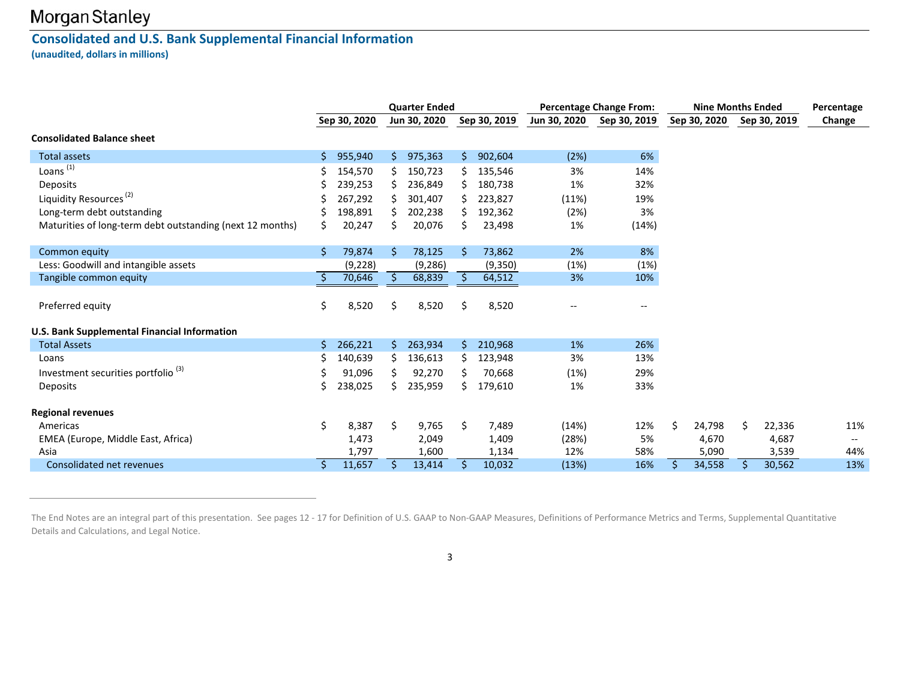### **Consolidated and U.S. Bank Supplemental Financial Information (unaudited, dollars in millions)**

|                                                           |    |              |     | <b>Quarter Ended</b> |    |              |              | <b>Percentage Change From:</b> | <b>Nine Months Ended</b> |    |              | Percentage               |
|-----------------------------------------------------------|----|--------------|-----|----------------------|----|--------------|--------------|--------------------------------|--------------------------|----|--------------|--------------------------|
|                                                           |    | Sep 30, 2020 |     | Jun 30, 2020         |    | Sep 30, 2019 | Jun 30, 2020 | Sep 30, 2019                   | Sep 30, 2020             |    | Sep 30, 2019 | Change                   |
| <b>Consolidated Balance sheet</b>                         |    |              |     |                      |    |              |              |                                |                          |    |              |                          |
| <b>Total assets</b>                                       | S  | 955,940      | \$. | 975,363              |    | 902,604      | (2%)         | 6%                             |                          |    |              |                          |
| Loans <sup>(1)</sup>                                      |    | 154,570      |     | 150,723              |    | 135,546      | 3%           | 14%                            |                          |    |              |                          |
| Deposits                                                  |    | 239,253      |     | 236,849              |    | 180,738      | 1%           | 32%                            |                          |    |              |                          |
| Liquidity Resources <sup>(2)</sup>                        |    | 267,292      |     | 301,407              |    | 223,827      | (11%)        | 19%                            |                          |    |              |                          |
| Long-term debt outstanding                                |    | 198,891      |     | 202,238              |    | 192,362      | (2%)         | 3%                             |                          |    |              |                          |
| Maturities of long-term debt outstanding (next 12 months) | S  | 20,247       |     | 20,076               |    | 23,498       | 1%           | (14%)                          |                          |    |              |                          |
|                                                           |    |              |     |                      |    |              |              |                                |                          |    |              |                          |
| Common equity                                             | Ś. | 79,874       | -S  | 78,125               |    | 73,862       | 2%           | 8%                             |                          |    |              |                          |
| Less: Goodwill and intangible assets                      |    | (9, 228)     |     | (9, 286)             |    | (9,350)      | (1%)         | (1%)                           |                          |    |              |                          |
| Tangible common equity                                    |    | 70,646       | S   | 68,839               |    | 64,512       | 3%           | 10%                            |                          |    |              |                          |
| Preferred equity                                          | \$ | 8,520        | \$  | 8,520                | S  | 8,520        |              |                                |                          |    |              |                          |
|                                                           |    |              |     |                      |    |              |              |                                |                          |    |              |                          |
| <b>U.S. Bank Supplemental Financial Information</b>       |    |              |     |                      |    |              |              |                                |                          |    |              |                          |
| <b>Total Assets</b>                                       | Ś. | 266,221      | Ŝ.  | 263,934              | S. | 210,968      | 1%           | 26%                            |                          |    |              |                          |
| Loans                                                     |    | 140,639      |     | 136,613              |    | 123,948      | 3%           | 13%                            |                          |    |              |                          |
| Investment securities portfolio <sup>(3)</sup>            |    | 91,096       |     | 92,270               |    | 70,668       | (1%)         | 29%                            |                          |    |              |                          |
| Deposits                                                  | Ś  | 238,025      | S   | 235,959              | ς  | 179,610      | 1%           | 33%                            |                          |    |              |                          |
| <b>Regional revenues</b>                                  |    |              |     |                      |    |              |              |                                |                          |    |              |                          |
| Americas                                                  | \$ | 8,387        | Ŝ.  | 9,765                | Ŝ. | 7,489        | (14%)        | 12%                            | \$<br>24,798             | Ŝ. | 22,336       | 11%                      |
| EMEA (Europe, Middle East, Africa)                        |    | 1,473        |     | 2,049                |    | 1,409        | (28%)        | 5%                             | 4,670                    |    | 4,687        | $\hspace{0.05cm} \ldots$ |
| Asia                                                      |    | 1,797        |     | 1,600                |    | 1,134        | 12%          | 58%                            | 5,090                    |    | 3,539        | 44%                      |
| Consolidated net revenues                                 |    | 11,657       |     | 13,414               |    | 10,032       | (13%)        | 16%                            | 34,558                   |    | 30,562       | 13%                      |

3

The End Notes are an integral part of this presentation. See pages 12 ‐ 17 for Definition of U.S. GAAP to Non‐GAAP Measures, Definitions of Performance Metrics and Terms, Supplemental Quantitative Details and Calculations, and Legal Notice.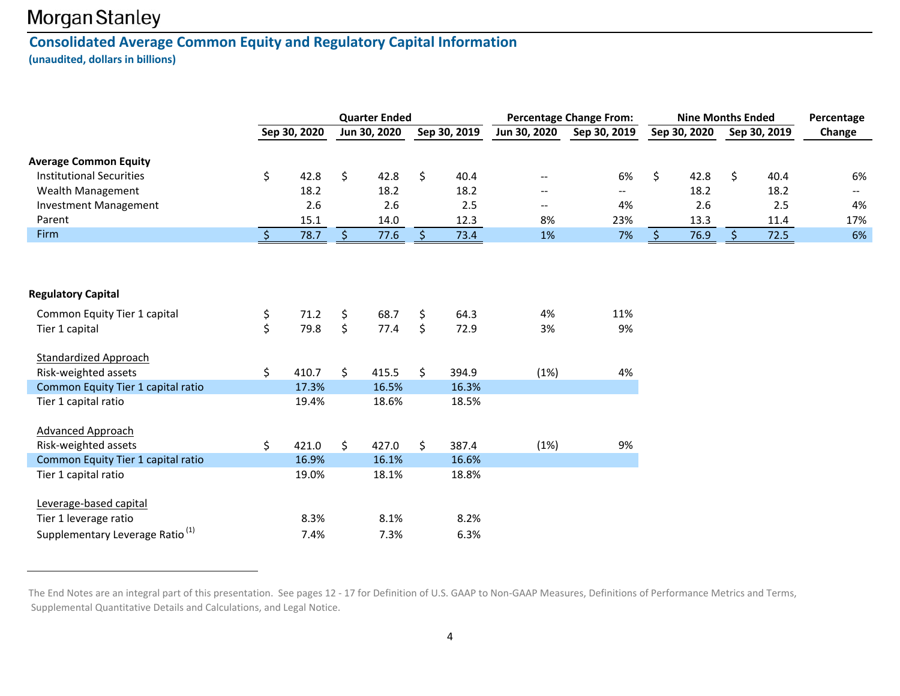### **Consolidated Average Common Equity and Regulatory Capital Information (unaudited, dollars in billions)**

|                                             |               |              | <b>Quarter Ended</b> |              |               | <b>Percentage Change From:</b> |         | <b>Nine Months Ended</b> |              | Percentage                                    |
|---------------------------------------------|---------------|--------------|----------------------|--------------|---------------|--------------------------------|---------|--------------------------|--------------|-----------------------------------------------|
|                                             |               | Sep 30, 2020 | Jun 30, 2020         | Sep 30, 2019 | Jun 30, 2020  | Sep 30, 2019                   |         | Sep 30, 2020             | Sep 30, 2019 | Change                                        |
| <b>Average Common Equity</b>                |               |              |                      |              |               |                                |         |                          |              |                                               |
| <b>Institutional Securities</b>             | \$            | 42.8         | \$<br>42.8           | \$<br>40.4   |               | 6%                             | $\zeta$ | 42.8                     | \$<br>40.4   | 6%                                            |
| Wealth Management                           |               | 18.2         | 18.2                 | 18.2         | $\sim$ $\sim$ | $\mathbf{H}$                   |         | 18.2                     | 18.2         | $\mathord{\hspace{1pt}\text{--}\hspace{1pt}}$ |
| <b>Investment Management</b>                |               | 2.6          | 2.6                  | 2.5          | $\sim$ $\sim$ | 4%                             |         | 2.6                      | 2.5          | 4%                                            |
| Parent                                      |               | 15.1         | 14.0                 | 12.3         | 8%            | 23%                            |         | 13.3                     | 11.4         | 17%                                           |
| Firm                                        | $\ddot{\phi}$ | 78.7         | 77.6                 | 73.4         | 1%            | 7%                             |         | 76.9                     | 72.5         | 6%                                            |
| <b>Regulatory Capital</b>                   |               |              |                      |              |               |                                |         |                          |              |                                               |
| Common Equity Tier 1 capital                | \$            | 71.2         | \$<br>68.7           | \$<br>64.3   | 4%            | 11%                            |         |                          |              |                                               |
| Tier 1 capital                              | \$            | 79.8         | \$<br>77.4           | \$<br>72.9   | 3%            | 9%                             |         |                          |              |                                               |
|                                             |               |              |                      |              |               |                                |         |                          |              |                                               |
| <b>Standardized Approach</b>                |               |              |                      |              |               |                                |         |                          |              |                                               |
| Risk-weighted assets                        | \$            | 410.7        | \$<br>415.5          | \$<br>394.9  | (1%)          | 4%                             |         |                          |              |                                               |
| Common Equity Tier 1 capital ratio          |               | 17.3%        | 16.5%                | 16.3%        |               |                                |         |                          |              |                                               |
| Tier 1 capital ratio                        |               | 19.4%        | 18.6%                | 18.5%        |               |                                |         |                          |              |                                               |
|                                             |               |              |                      |              |               |                                |         |                          |              |                                               |
| <b>Advanced Approach</b>                    |               |              |                      |              |               |                                |         |                          |              |                                               |
| Risk-weighted assets                        | \$            | 421.0        | \$<br>427.0          | \$<br>387.4  | (1%)          | 9%                             |         |                          |              |                                               |
| Common Equity Tier 1 capital ratio          |               | 16.9%        | 16.1%                | 16.6%        |               |                                |         |                          |              |                                               |
| Tier 1 capital ratio                        |               | 19.0%        | 18.1%                | 18.8%        |               |                                |         |                          |              |                                               |
| Leverage-based capital                      |               |              |                      |              |               |                                |         |                          |              |                                               |
| Tier 1 leverage ratio                       |               | 8.3%         | 8.1%                 | 8.2%         |               |                                |         |                          |              |                                               |
| Supplementary Leverage Ratio <sup>(1)</sup> |               | 7.4%         | 7.3%                 | 6.3%         |               |                                |         |                          |              |                                               |

The End Notes are an integral part of this presentation. See pages 12 ‐ 17 for Definition of U.S. GAAP to Non‐GAAP Measures, Definitions of Performance Metrics and Terms, Supplemental Quantitative Details and Calculations, and Legal Notice.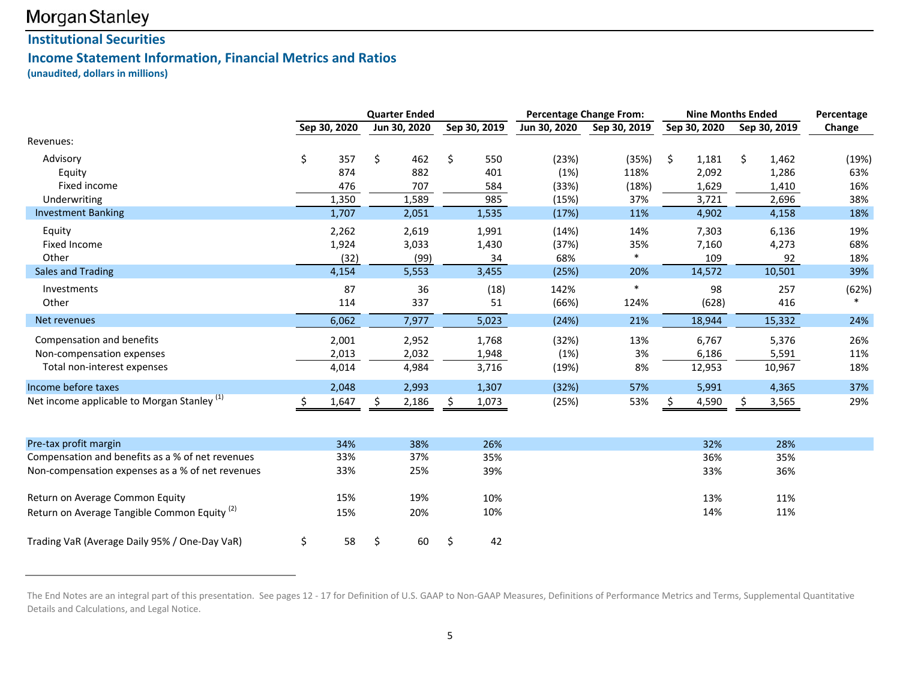### **Institutional Securities**

### **Income Statement Information, Financial Metrics and Ratios**

**(unaudited, dollars in millions)**

|                                                         |    |              | <b>Quarter Ended</b> |              |              | <b>Percentage Change From:</b> | <b>Nine Months Ended</b> |              | Percentage |
|---------------------------------------------------------|----|--------------|----------------------|--------------|--------------|--------------------------------|--------------------------|--------------|------------|
|                                                         |    | Sep 30, 2020 | Jun 30, 2020         | Sep 30, 2019 | Jun 30, 2020 | Sep 30, 2019                   | Sep 30, 2020             | Sep 30, 2019 | Change     |
| Revenues:                                               |    |              |                      |              |              |                                |                          |              |            |
| Advisory                                                | \$ | 357          | \$<br>462            | \$<br>550    | (23%)        | (35%)                          | \$<br>1,181              | \$<br>1,462  | (19%)      |
| Equity                                                  |    | 874          | 882                  | 401          | (1%)         | 118%                           | 2,092                    | 1,286        | 63%        |
| Fixed income                                            |    | 476          | 707                  | 584          | (33%)        | (18%)                          | 1,629                    | 1,410        | 16%        |
| Underwriting                                            |    | 1,350        | 1,589                | 985          | (15%)        | 37%                            | 3,721                    | 2,696        | 38%        |
| <b>Investment Banking</b>                               |    | 1,707        | 2,051                | 1,535        | (17%)        | 11%                            | 4,902                    | 4,158        | 18%        |
| Equity                                                  |    | 2,262        | 2,619                | 1,991        | (14%)        | 14%                            | 7,303                    | 6,136        | 19%        |
| <b>Fixed Income</b>                                     |    | 1,924        | 3,033                | 1,430        | (37%)        | 35%                            | 7,160                    | 4,273        | 68%        |
| Other                                                   |    | (32)         | (99)                 | 34           | 68%          | *                              | 109                      | 92           | 18%        |
| <b>Sales and Trading</b>                                |    | 4,154        | 5,553                | 3,455        | (25%)        | 20%                            | 14,572                   | 10,501       | 39%        |
| Investments                                             |    | 87           | 36                   | (18)         | 142%         |                                | 98                       | 257          | (62%)      |
| Other                                                   |    | 114          | 337                  | 51           | (66%)        | 124%                           | (628)                    | 416          |            |
| Net revenues                                            |    | 6,062        | 7,977                | 5,023        | (24%)        | 21%                            | 18,944                   | 15,332       | 24%        |
| Compensation and benefits                               |    | 2,001        | 2,952                | 1,768        | (32%)        | 13%                            | 6,767                    | 5,376        | 26%        |
| Non-compensation expenses                               |    | 2,013        | 2,032                | 1,948        | (1%)         | $3%$                           | 6,186                    | 5,591        | 11%        |
| Total non-interest expenses                             |    | 4,014        | 4,984                | 3,716        | (19%)        | 8%                             | 12,953                   | 10,967       | 18%        |
| Income before taxes                                     |    | 2,048        | 2,993                | 1,307        | (32%)        | 57%                            | 5,991                    | 4,365        | 37%        |
| Net income applicable to Morgan Stanley <sup>(1)</sup>  | Ŝ. | 1,647        | \$<br>2,186          | \$<br>1,073  | (25%)        | 53%                            | \$<br>4,590              | \$<br>3,565  | 29%        |
|                                                         |    |              |                      |              |              |                                |                          |              |            |
| Pre-tax profit margin                                   |    | 34%          | 38%                  | 26%          |              |                                | 32%                      | 28%          |            |
| Compensation and benefits as a % of net revenues        |    | 33%          | 37%                  | 35%          |              |                                | 36%                      | 35%          |            |
| Non-compensation expenses as a % of net revenues        |    | 33%          | 25%                  | 39%          |              |                                | 33%                      | 36%          |            |
| Return on Average Common Equity                         |    | 15%          | 19%                  | 10%          |              |                                | 13%                      | 11%          |            |
| Return on Average Tangible Common Equity <sup>(2)</sup> |    | 15%          | 20%                  | 10%          |              |                                | 14%                      | 11%          |            |
| Trading VaR (Average Daily 95% / One-Day VaR)           | \$ | 58           | \$<br>60             | \$<br>42     |              |                                |                          |              |            |

The End Notes are an integral part of this presentation. See pages 12 ‐ 17 for Definition of U.S. GAAP to Non‐GAAP Measures, Definitions of Performance Metrics and Terms, Supplemental Quantitative Details and Calculations, and Legal Notice.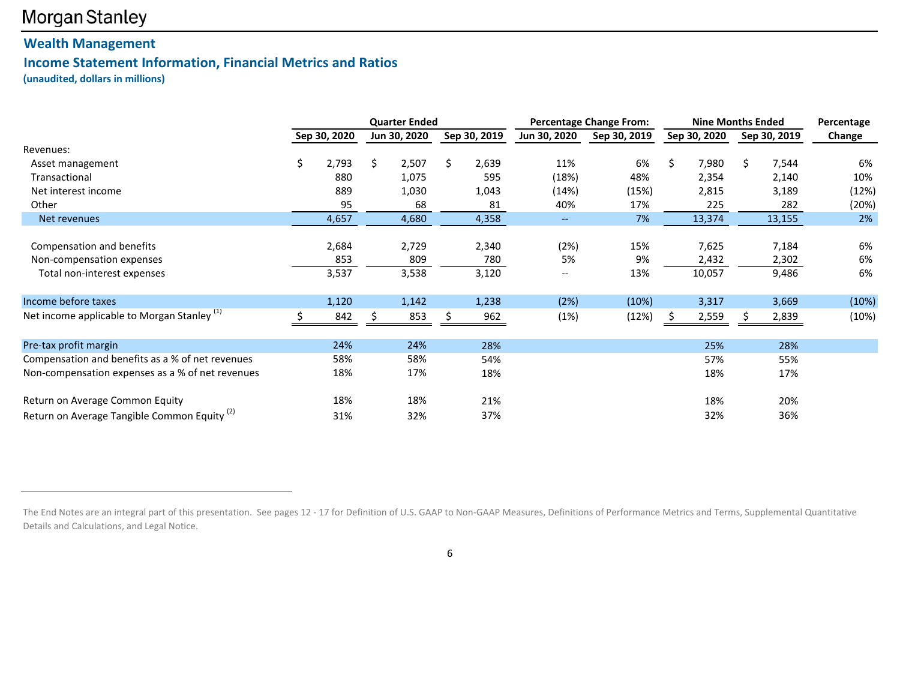### **Wealth Management**

### **Income Statement Information, Financial Metrics and Ratios**

**(unaudited, dollars in millions)**

|                                                         |              |    | <b>Quarter Ended</b> |    |              |                          | <b>Percentage Change From:</b> |    | <b>Nine Months Ended</b> |    |              | Percentage |
|---------------------------------------------------------|--------------|----|----------------------|----|--------------|--------------------------|--------------------------------|----|--------------------------|----|--------------|------------|
|                                                         | Sep 30, 2020 |    | Jun 30, 2020         |    | Sep 30, 2019 | Jun 30, 2020             | Sep 30, 2019                   |    | Sep 30, 2020             |    | Sep 30, 2019 | Change     |
| Revenues:                                               |              |    |                      |    |              |                          |                                |    |                          |    |              |            |
| Asset management                                        | \$<br>2,793  | Ś. | 2,507                | Ś. | 2,639        | 11%                      | 6%                             | Ŝ. | 7,980                    | Ś. | 7,544        | 6%         |
| Transactional                                           | 880          |    | 1,075                |    | 595          | (18%)                    | 48%                            |    | 2,354                    |    | 2,140        | 10%        |
| Net interest income                                     | 889          |    | 1,030                |    | 1,043        | (14%)                    | (15%)                          |    | 2,815                    |    | 3,189        | (12%)      |
| Other                                                   | 95           |    | 68                   |    | 81           | 40%                      | 17%                            |    | 225                      |    | 282          | (20%)      |
| Net revenues                                            | 4,657        |    | 4,680                |    | 4,358        | $\overline{\phantom{a}}$ | 7%                             |    | 13,374                   |    | 13,155       | 2%         |
|                                                         |              |    |                      |    |              |                          |                                |    |                          |    |              |            |
| Compensation and benefits                               | 2,684        |    | 2,729                |    | 2,340        | (2%)                     | 15%                            |    | 7,625                    |    | 7,184        | 6%         |
| Non-compensation expenses                               | 853          |    | 809                  |    | 780          | 5%                       | 9%                             |    | 2,432                    |    | 2,302        | 6%         |
| Total non-interest expenses                             | 3,537        |    | 3,538                |    | 3,120        | --                       | 13%                            |    | 10,057                   |    | 9,486        | 6%         |
|                                                         |              |    |                      |    |              |                          |                                |    |                          |    |              |            |
| Income before taxes                                     | 1,120        |    | 1,142                |    | 1,238        | (2%)                     | (10%)                          |    | 3,317                    |    | 3,669        | (10%)      |
| Net income applicable to Morgan Stanley <sup>(1)</sup>  | 842          |    | 853                  |    | 962          | (1%)                     | (12%)                          |    | 2,559                    |    | 2,839        | (10%)      |
|                                                         |              |    |                      |    |              |                          |                                |    |                          |    |              |            |
| Pre-tax profit margin                                   | 24%          |    | 24%                  |    | 28%          |                          |                                |    | 25%                      |    | 28%          |            |
| Compensation and benefits as a % of net revenues        | 58%          |    | 58%                  |    | 54%          |                          |                                |    | 57%                      |    | 55%          |            |
| Non-compensation expenses as a % of net revenues        | 18%          |    | 17%                  |    | 18%          |                          |                                |    | 18%                      |    | 17%          |            |
| Return on Average Common Equity                         | 18%          |    | 18%                  |    | 21%          |                          |                                |    | 18%                      |    | 20%          |            |
| Return on Average Tangible Common Equity <sup>(2)</sup> | 31%          |    | 32%                  |    | 37%          |                          |                                |    | 32%                      |    | 36%          |            |

6

The End Notes are an integral part of this presentation. See pages 12 ‐ 17 for Definition of U.S. GAAP to Non‐GAAP Measures, Definitions of Performance Metrics and Terms, Supplemental Quantitative Details and Calculations, and Legal Notice.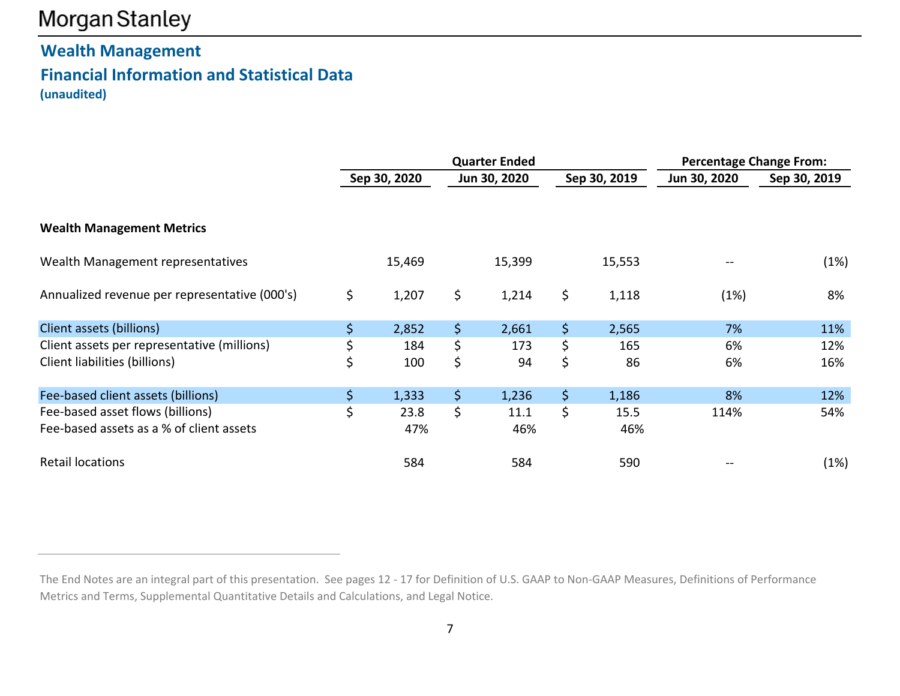## **Wealth Management Financial Information and Statistical Data (unaudited)**

|                                               | <b>Quarter Ended</b><br>Sep 30, 2020<br>Sep 30, 2019<br>Jun 30, 2020 |        |    |        |    |        | <b>Percentage Change From:</b> |              |  |  |
|-----------------------------------------------|----------------------------------------------------------------------|--------|----|--------|----|--------|--------------------------------|--------------|--|--|
|                                               |                                                                      |        |    |        |    |        | Jun 30, 2020                   | Sep 30, 2019 |  |  |
| <b>Wealth Management Metrics</b>              |                                                                      |        |    |        |    |        |                                |              |  |  |
| Wealth Management representatives             |                                                                      | 15,469 |    | 15,399 |    | 15,553 |                                | (1%)         |  |  |
| Annualized revenue per representative (000's) | \$                                                                   | 1,207  | \$ | 1,214  | \$ | 1,118  | (1%)                           | 8%           |  |  |
| Client assets (billions)                      | $\left  \mathsf{S} \right $                                          | 2,852  | \$ | 2,661  | \$ | 2,565  | 7%                             | 11%          |  |  |
| Client assets per representative (millions)   | \$                                                                   | 184    | \$ | 173    | \$ | 165    | 6%                             | 12%          |  |  |
| Client liabilities (billions)                 | \$                                                                   | 100    | \$ | 94     | \$ | 86     | 6%                             | 16%          |  |  |
| Fee-based client assets (billions)            | $\left  \boldsymbol{\zeta} \right $                                  | 1,333  | \$ | 1,236  | \$ | 1,186  | 8%                             | 12%          |  |  |
| Fee-based asset flows (billions)              | \$                                                                   | 23.8   | \$ | 11.1   | \$ | 15.5   | 114%                           | 54%          |  |  |
| Fee-based assets as a % of client assets      |                                                                      | 47%    |    | 46%    |    | 46%    |                                |              |  |  |
| <b>Retail locations</b>                       |                                                                      | 584    |    | 584    |    | 590    |                                | (1%)         |  |  |

The End Notes are an integral part of this presentation. See pages 12 ‐ 17 for Definition of U.S. GAAP to Non‐GAAP Measures, Definitions of Performance Metrics and Terms, Supplemental Quantitative Details and Calculations, and Legal Notice.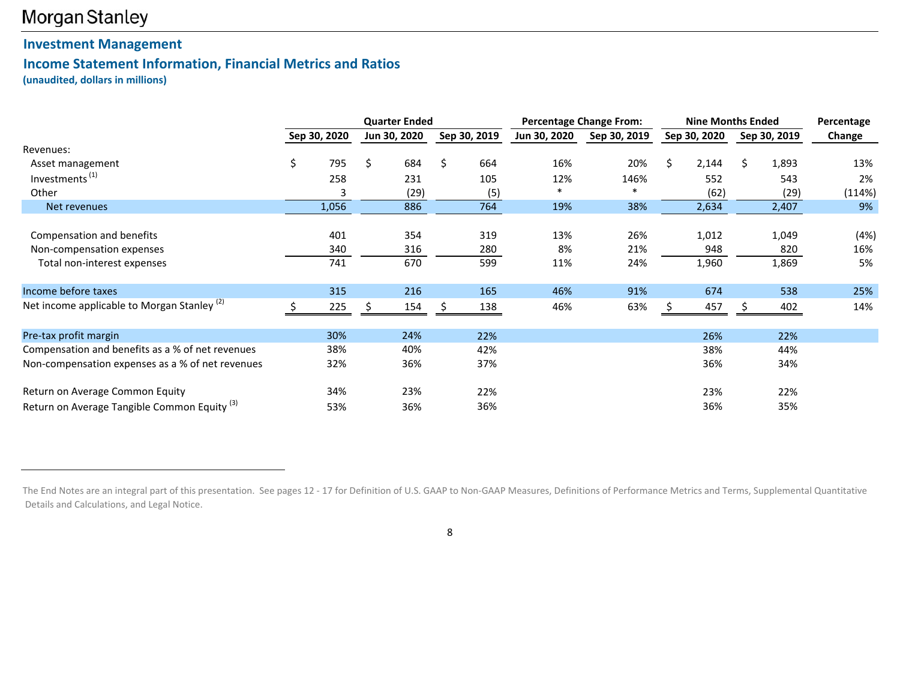### **Investment Management**

### **Income Statement Information, Financial Metrics and Ratios**

**(unaudited, dollars in millions)**

|                                                         |              | <b>Quarter Ended</b> |              |              | <b>Percentage Change From:</b> |    | <b>Nine Months Ended</b> |    |              | Percentage |
|---------------------------------------------------------|--------------|----------------------|--------------|--------------|--------------------------------|----|--------------------------|----|--------------|------------|
|                                                         | Sep 30, 2020 | Jun 30, 2020         | Sep 30, 2019 | Jun 30, 2020 | Sep 30, 2019                   |    | Sep 30, 2020             |    | Sep 30, 2019 | Change     |
| Revenues:                                               |              |                      |              |              |                                |    |                          |    |              |            |
| Asset management                                        | \$<br>795    | \$<br>684            | \$<br>664    | 16%          | 20%                            | Ŝ. | 2,144                    | Ś. | 1,893        | 13%        |
| Investments <sup>(1)</sup>                              | 258          | 231                  | 105          | 12%          | 146%                           |    | 552                      |    | 543          | 2%         |
| Other                                                   | 3            | (29)                 | (5)          |              |                                |    | (62)                     |    | (29)         | (114%)     |
| Net revenues                                            | 1,056        | 886                  | 764          | 19%          | 38%                            |    | 2,634                    |    | 2,407        | 9%         |
| Compensation and benefits                               | 401          | 354                  | 319          | 13%          | 26%                            |    | 1,012                    |    | 1,049        | (4%)       |
| Non-compensation expenses                               | 340          | 316                  | 280          | 8%           | 21%                            |    | 948                      |    | 820          | 16%        |
| Total non-interest expenses                             | 741          | 670                  | 599          | 11%          | 24%                            |    | 1,960                    |    | 1,869        | 5%         |
| Income before taxes                                     | 315          | 216                  | 165          | 46%          | 91%                            |    | 674                      |    | 538          | 25%        |
| Net income applicable to Morgan Stanley <sup>(2)</sup>  | 225          | 154                  | 138          | 46%          | 63%                            |    | 457                      |    | 402          | 14%        |
| Pre-tax profit margin                                   | 30%          | 24%                  | 22%          |              |                                |    | 26%                      |    | 22%          |            |
| Compensation and benefits as a % of net revenues        | 38%          | 40%                  | 42%          |              |                                |    | 38%                      |    | 44%          |            |
| Non-compensation expenses as a % of net revenues        | 32%          | 36%                  | 37%          |              |                                |    | 36%                      |    | 34%          |            |
| Return on Average Common Equity                         | 34%          | 23%                  | 22%          |              |                                |    | 23%                      |    | 22%          |            |
| Return on Average Tangible Common Equity <sup>(3)</sup> | 53%          | 36%                  | 36%          |              |                                |    | 36%                      |    | 35%          |            |

8

The End Notes are an integral part of this presentation. See pages 12 ‐ 17 for Definition of U.S. GAAP to Non‐GAAP Measures, Definitions of Performance Metrics and Terms, Supplemental Quantitative Details and Calculations, and Legal Notice.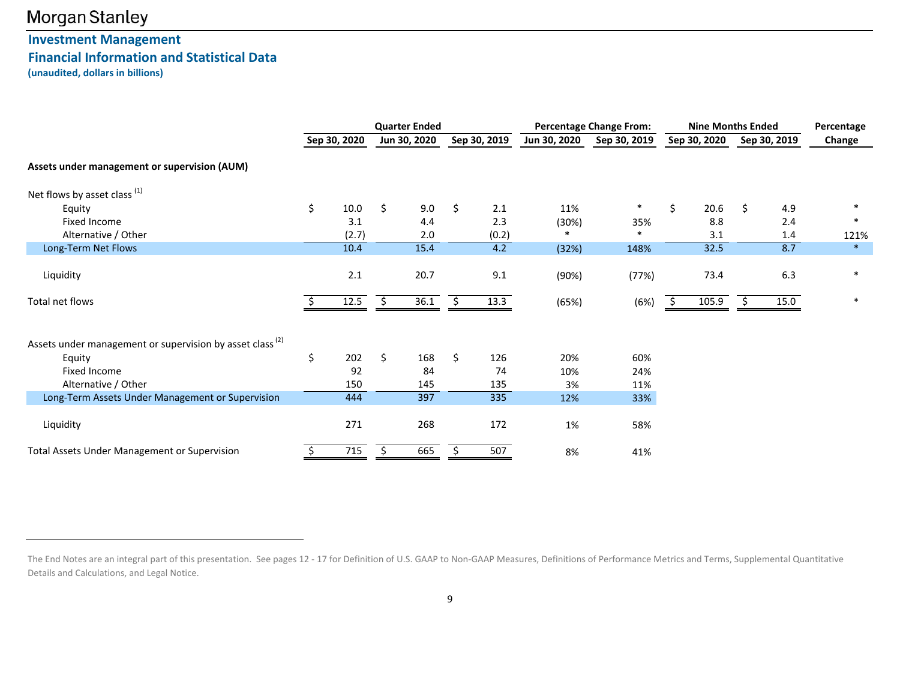### **Investment Management Financial Information and Statistical Data (unaudited, dollars in billions)**

|                                                                      | <b>Quarter Ended</b> |              |    | <b>Percentage Change From:</b> |    |              |              | <b>Nine Months Ended</b> |    |              |   | Percentage   |        |
|----------------------------------------------------------------------|----------------------|--------------|----|--------------------------------|----|--------------|--------------|--------------------------|----|--------------|---|--------------|--------|
|                                                                      |                      | Sep 30, 2020 |    | Jun 30, 2020                   |    | Sep 30, 2019 | Jun 30, 2020 | Sep 30, 2019             |    | Sep 30, 2020 |   | Sep 30, 2019 | Change |
| Assets under management or supervision (AUM)                         |                      |              |    |                                |    |              |              |                          |    |              |   |              |        |
| Net flows by asset class $(1)$                                       |                      |              |    |                                |    |              |              |                          |    |              |   |              |        |
| Equity                                                               | \$                   | 10.0         | Ŝ. | 9.0                            | \$ | 2.1          | 11%          | $\ast$                   | \$ | 20.6         | Ŝ | 4.9          | $\ast$ |
| Fixed Income                                                         |                      | 3.1          |    | 4.4                            |    | 2.3          | (30%)        | 35%                      |    | 8.8          |   | 2.4          | $\ast$ |
| Alternative / Other                                                  |                      | (2.7)        |    | 2.0                            |    | (0.2)        |              | $\ast$                   |    | 3.1          |   | 1.4          | 121%   |
| Long-Term Net Flows                                                  |                      | 10.4         |    | 15.4                           |    | 4.2          | (32%)        | 148%                     |    | 32.5         |   | 8.7          | $\ast$ |
| Liquidity                                                            |                      | 2.1          |    | 20.7                           |    | 9.1          | (90%)        | (77%)                    |    | 73.4         |   | 6.3          | $\ast$ |
| Total net flows                                                      |                      | 12.5         | Ŝ. | 36.1                           |    | 13.3         | (65%)        | (6%)                     |    | 105.9        |   | 15.0         | $\ast$ |
| Assets under management or supervision by asset class <sup>(2)</sup> |                      |              |    |                                |    |              |              |                          |    |              |   |              |        |
| Equity                                                               | \$                   | 202          | Ŝ. | 168                            | Ś. | 126          | 20%          | 60%                      |    |              |   |              |        |
| Fixed Income                                                         |                      | 92           |    | 84                             |    | 74           | 10%          | 24%                      |    |              |   |              |        |
| Alternative / Other                                                  |                      | 150          |    | 145                            |    | 135          | 3%           | 11%                      |    |              |   |              |        |
| Long-Term Assets Under Management or Supervision                     |                      | 444          |    | 397                            |    | 335          | 12%          | 33%                      |    |              |   |              |        |
| Liquidity                                                            |                      | 271          |    | 268                            |    | 172          | 1%           | 58%                      |    |              |   |              |        |
| <b>Total Assets Under Management or Supervision</b>                  |                      | 715          | Ŝ. | 665                            |    | 507          | 8%           | 41%                      |    |              |   |              |        |

The End Notes are an integral part of this presentation. See pages 12 ‐ 17 for Definition of U.S. GAAP to Non‐GAAP Measures, Definitions of Performance Metrics and Terms, Supplemental Quantitative Details and Calculations, and Legal Notice.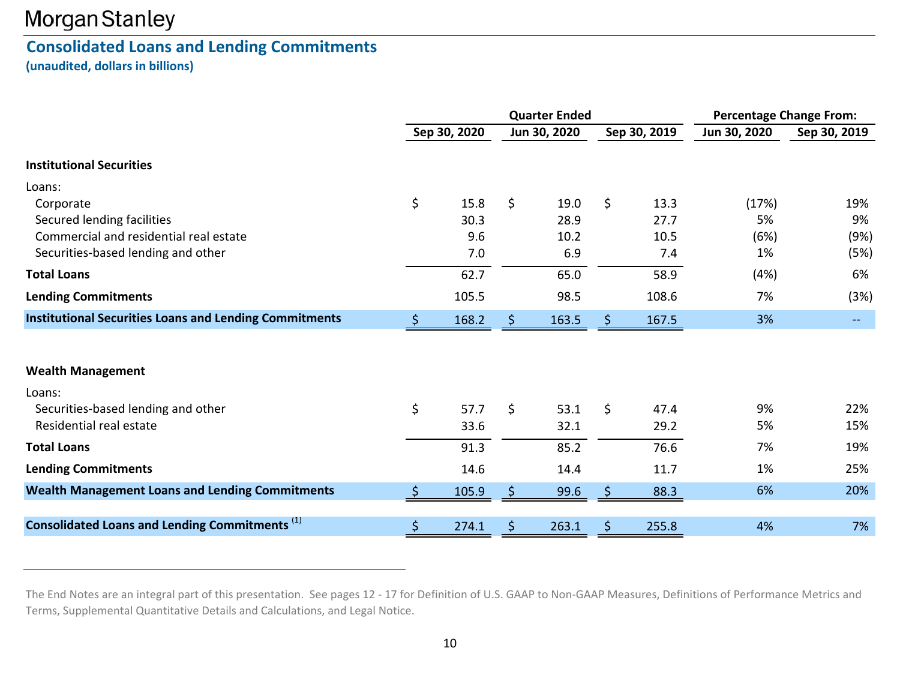### **Consolidated Loans and Lending Commitments**

**(unaudited, dollars in billions)**

|                                                                                             | <b>Quarter Ended</b> |                     |    |                      |    |                      | <b>Percentage Change From:</b> |                   |  |
|---------------------------------------------------------------------------------------------|----------------------|---------------------|----|----------------------|----|----------------------|--------------------------------|-------------------|--|
|                                                                                             |                      | Sep 30, 2020        |    | Jun 30, 2020         |    | Sep 30, 2019         | Jun 30, 2020                   | Sep 30, 2019      |  |
| <b>Institutional Securities</b>                                                             |                      |                     |    |                      |    |                      |                                |                   |  |
| Loans:<br>Corporate<br>Secured lending facilities<br>Commercial and residential real estate | \$                   | 15.8<br>30.3<br>9.6 | \$ | 19.0<br>28.9<br>10.2 | \$ | 13.3<br>27.7<br>10.5 | (17%)<br>5%<br>(6%)            | 19%<br>9%<br>(9%) |  |
| Securities-based lending and other                                                          |                      | 7.0                 |    | 6.9                  |    | 7.4                  | 1%                             | (5%)              |  |
| <b>Total Loans</b>                                                                          |                      | 62.7                |    | 65.0                 |    | 58.9                 | (4%)                           | 6%                |  |
| <b>Lending Commitments</b>                                                                  |                      | 105.5               |    | 98.5                 |    | 108.6                | 7%                             | (3%)              |  |
| <b>Institutional Securities Loans and Lending Commitments</b>                               | S                    | 168.2               |    | 163.5                | S  | 167.5                | 3%                             |                   |  |
| <b>Wealth Management</b>                                                                    |                      |                     |    |                      |    |                      |                                |                   |  |
| Loans:<br>Securities-based lending and other<br>Residential real estate                     | \$                   | 57.7<br>33.6        | \$ | 53.1<br>32.1         | Ś. | 47.4<br>29.2         | 9%<br>5%                       | 22%<br>15%        |  |
| <b>Total Loans</b>                                                                          |                      | 91.3                |    | 85.2                 |    | 76.6                 | 7%                             | 19%               |  |
| <b>Lending Commitments</b>                                                                  |                      | 14.6                |    | 14.4                 |    | 11.7                 | 1%                             | 25%               |  |
| <b>Wealth Management Loans and Lending Commitments</b>                                      | <sub>S</sub>         | 105.9               |    | 99.6                 | Ŝ. | 88.3                 | 6%                             | 20%               |  |
| Consolidated Loans and Lending Commitments <sup>(1)</sup>                                   | \$                   | 274.1               | S  | 263.1                | \$ | 255.8                | 4%                             | 7%                |  |

The End Notes are an integral part of this presentation. See pages 12 ‐ 17 for Definition of U.S. GAAP to Non‐GAAP Measures, Definitions of Performance Metrics and Terms, Supplemental Quantitative Details and Calculations, and Legal Notice.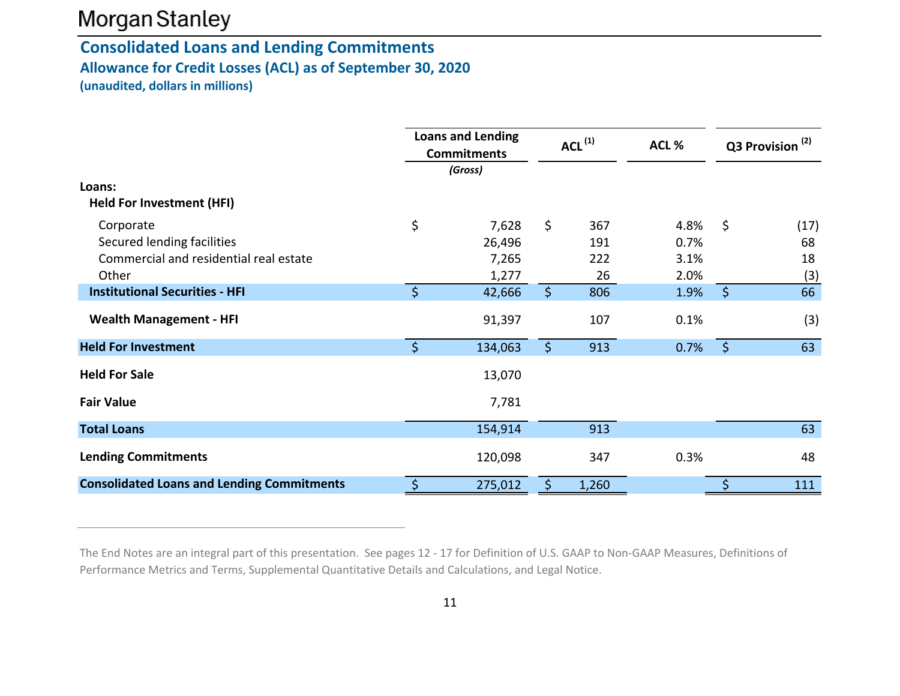### **Consolidated Loans and Lending Commitments Allowance for Credit Losses (ACL) as of September 30, 2020 (unaudited, dollars in millions)**

|                                                                                            |         | <b>Loans and Lending</b><br><b>Commitments</b><br>(Gross) | $ACL^{(1)}$  |                         | ACL%                         | Q3 Provision <sup>(2)</sup> |                         |
|--------------------------------------------------------------------------------------------|---------|-----------------------------------------------------------|--------------|-------------------------|------------------------------|-----------------------------|-------------------------|
| Loans:<br><b>Held For Investment (HFI)</b>                                                 |         |                                                           |              |                         |                              |                             |                         |
| Corporate<br>Secured lending facilities<br>Commercial and residential real estate<br>Other | \$      | 7,628<br>26,496<br>7,265<br>1,277                         | \$           | 367<br>191<br>222<br>26 | 4.8%<br>0.7%<br>3.1%<br>2.0% | \$                          | (17)<br>68<br>18<br>(3) |
| <b>Institutional Securities - HFI</b>                                                      | $\zeta$ | 42,666                                                    | $\mathsf{S}$ | 806                     | 1.9%                         | $\mathsf{S}$                | 66                      |
| <b>Wealth Management - HFI</b>                                                             |         | 91,397                                                    |              | 107                     | 0.1%                         |                             | (3)                     |
| <b>Held For Investment</b>                                                                 | $\zeta$ | 134,063                                                   | \$           | 913                     | 0.7%                         | $\zeta$                     | 63                      |
| <b>Held For Sale</b>                                                                       |         | 13,070                                                    |              |                         |                              |                             |                         |
| <b>Fair Value</b>                                                                          |         | 7,781                                                     |              |                         |                              |                             |                         |
| <b>Total Loans</b>                                                                         |         | 154,914                                                   |              | 913                     |                              |                             | 63                      |
| <b>Lending Commitments</b>                                                                 |         | 120,098                                                   |              | 347                     | 0.3%                         |                             | 48                      |
| <b>Consolidated Loans and Lending Commitments</b>                                          | \$      | 275,012                                                   | \$.          | 1,260                   |                              | Ś                           | 111                     |

The End Notes are an integral part of this presentation. See pages 12 ‐ 17 for Definition of U.S. GAAP to Non‐GAAP Measures, Definitions of Performance Metrics and Terms, Supplemental Quantitative Details and Calculations, and Legal Notice.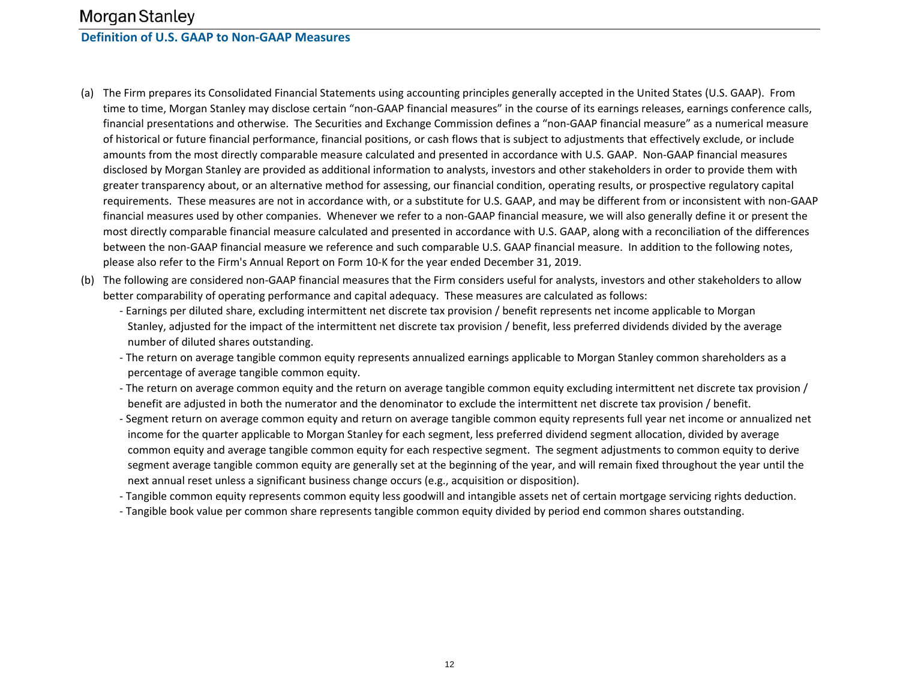### **Morgan Stanley Definition of U.S. GAAP to Non‐GAAP Measures**

- (a) The Firm prepares its Consolidated Financial Statements using accounting principles generally accepted in the United States (U.S. GAAP). From time to time, Morgan Stanley may disclose certain "non‐GAAP financial measures" in the course of its earnings releases, earnings conference calls, financial presentations and otherwise. The Securities and Exchange Commission defines <sup>a</sup> "non‐GAAP financial measure" as <sup>a</sup> numerical measure of historical or future financial performance, financial positions, or cash flows that is subject to adjustments that effectively exclude, or include amounts from the most directly comparable measure calculated and presented in accordance with U.S. GAAP. Non‐GAAP financial measures disclosed by Morgan Stanley are provided as additional information to analysts, investors and other stakeholders in order to provide them with greater transparency about, or an alternative method for assessing, our financial condition, operating results, or prospective regulatory capital requirements. These measures are not in accordance with, or <sup>a</sup> substitute for U.S. GAAP, and may be different from or inconsistent with non‐GAAP financial measures used by other companies. Whenever we refer to <sup>a</sup> non‐GAAP financial measure, we will also generally define it or present the most directly comparable financial measure calculated and presented in accordance with U.S. GAAP, along with <sup>a</sup> reconciliation of the differences between the non‐GAAP financial measure we reference and such comparable U.S. GAAP financial measure. In addition to the following notes, please also refer to the Firm's Annual Report on Form 10‐K for the year ended December 31, 2019.
- (b) The following are considered non‐GAAP financial measures that the Firm considers useful for analysts, investors and other stakeholders to allow better comparability of operating performance and capital adequacy. These measures are calculated as follows:
	- ‐ Earnings per diluted share, excluding intermittent net discrete tax provision / benefit represents net income applicable to Morgan Stanley, adjusted for the impact of the intermittent net discrete tax provision / benefit, less preferred dividends divided by the average number of diluted shares outstanding.
	- ‐ The return on average tangible common equity represents annualized earnings applicable to Morgan Stanley common shareholders as <sup>a</sup> percentage of average tangible common equity.
	- ‐ The return on average common equity and the return on average tangible common equity excluding intermittent net discrete tax provision / benefit are adjusted in both the numerator and the denominator to exclude the intermittent net discrete tax provision / benefit.
		- ‐ Segment return on average common equity and return on average tangible common equity represents full year net income or annualized net income for the quarter applicable to Morgan Stanley for each segment, less preferred dividend segment allocation, divided by average common equity and average tangible common equity for each respective segment. The segment adjustments to common equity to derive segment average tangible common equity are generally set at the beginning of the year, and will remain fixed throughout the year until the next annual reset unless a significant business change occurs (e.g., acquisition or disposition).
		- ‐ Tangible common equity represents common equity less goodwill and intangible assets net of certain mortgage servicing rights deduction.
		- ‐ Tangible book value per common share represents tangible common equity divided by period end common shares outstanding.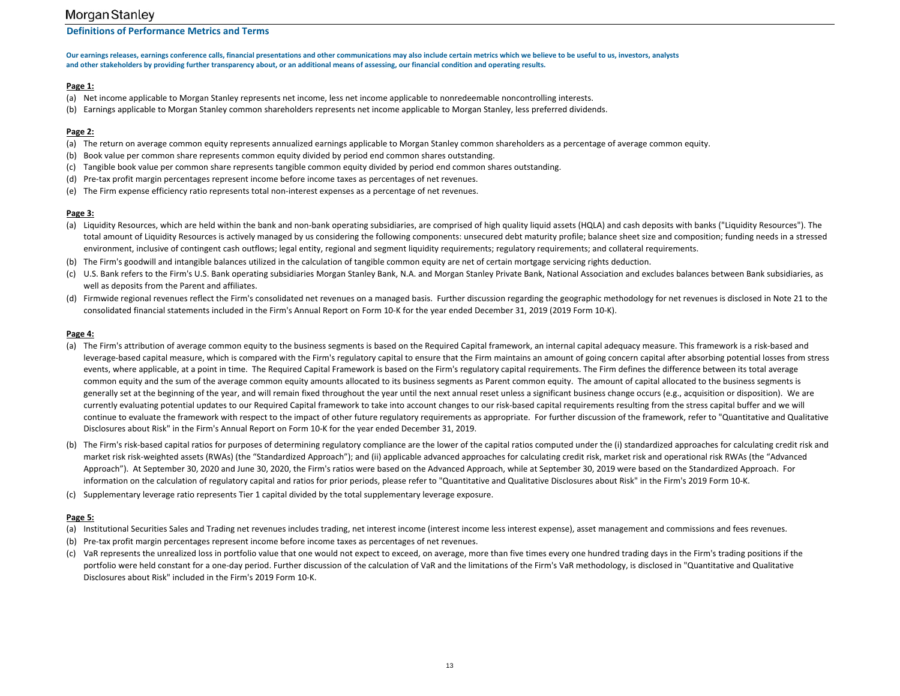#### **Definitions of Performance Metrics and Terms**

Our earnings releases, earnings conference calls, financial presentations and other communications may also include certain metrics which we believe to be useful to us, investors, analysts and other stakeholders by providing further transparency about, or an additional means of assessing, our financial condition and operating results.

#### **Page 1:**

- (a) Net income applicable to Morgan Stanley represents net income, less net income applicable to nonredeemable noncontrolling interests.
- (b) Earnings applicable to Morgan Stanley common shareholders represents net income applicable to Morgan Stanley, less preferred dividends.

#### **Page 2:**

- (a) The return on average common equity represents annualized earnings applicable to Morgan Stanley common shareholders as <sup>a</sup> percentage of average common equity.
- (b) Book value per common share represents common equity divided by period end common shares outstanding.
- (c) Tangible book value per common share represents tangible common equity divided by period end common shares outstanding.
- (d) Pre-tax profit margin percentages represent income before income taxes as percentages of net revenues.
- (e) The Firm expense efficiency ratio represents total non‐interest expenses as <sup>a</sup> percentage of net revenues.

#### **Page 3:**

- (a) Liquidity Resources, which are held within the bank and non‐bank operating subsidiaries, are comprised of high quality liquid assets (HQLA) and cash deposits with banks ("Liquidity Resources"). The total amount of Liquidity Resources is actively managed by us considering the following components: unsecured debt maturity profile; balance sheet size and composition; funding needs in <sup>a</sup> stressed environment, inclusive of contingent cash outflows; legal entity, regional and segment liquidity requirements; regulatory requirements; and collateral requirements.
- (b) The Firm's goodwill and intangible balances utilized in the calculation of tangible common equity are net of certain mortgage servicing rights deduction.
- (c) U.S. Bank refers to the Firm's U.S. Bank operating subsidiaries Morgan Stanley Bank, N.A. and Morgan Stanley Private Bank, National Association and excludes balances between Bank subsidiaries, as well as deposits from the Parent and affiliates.
- (d) Firmwide regional revenues reflect the Firm's consolidated net revenues on <sup>a</sup> managed basis. Further discussion regarding the geographic methodology for net revenues is disclosed in Note 21 to the consolidated financial statements included in the Firm's Annual Report on Form 10‐K for the year ended December 31, 2019 (2019 Form 10‐K).

#### **Page 4:**

- (a) The Firm's attribution of average common equity to the business segments is based on the Required Capital framework, an internal capital adequacy measure. This framework is a risk‐based and leverage‐based capital measure, which is compared with the Firm's regulatory capital to ensure that the Firm maintains an amount of going concern capital after absorbing potential losses from stress events, where applicable, at a point in time. The Required Capital Framework is based on the Firm's regulatory capital requirements. The Firm defines the difference between its total average common equity and the sum of the average common equity amounts allocated to its business segments as Parent common equity. The amount of capital allocated to the business segments is generally set at the beginning of the year, and will remain fixed throughout the year until the next annual reset unless a significant business change occurs (e.g., acquisition or disposition). We are currently evaluating potential updates to our Required Capital framework to take into account changes to our risk‐based capital requirements resulting from the stress capital buffer and we will continue to evaluate the framework with respect to the impact of other future regulatory requirements as appropriate. For further discussion of the framework, refer to "Quantitative and Qualitative Disclosures about Risk" in the Firm's Annual Report on Form 10‐K for the year ended December 31, 2019.
- (b) The Firm's risk‐based capital ratios for purposes of determining regulatory compliance are the lower of the capital ratios computed under the (i) standardized approaches for calculating credit risk and market risk risk‐weighted assets (RWAs) (the "Standardized Approach"); and (ii) applicable advanced approaches for calculating credit risk, market risk and operational risk RWAs (the "Advanced Approach"). At September 30, 2020 and June 30, 2020, the Firm's ratios were based on the Advanced Approach, while at September 30, 2019 were based on the Standardized Approach. For information on the calculation of regulatory capital and ratios for prior periods, please refer to "Quantitative and Qualitative Disclosures about Risk" in the Firm's 2019 Form 10‐K.
- (c) Supplementary leverage ratio represents Tier 1 capital divided by the total supplementary leverage exposure.

#### **Page 5:**

- (a) Institutional Securities Sales and Trading net revenues includes trading, net interest income (interest income less interest expense), asset management and commissions and fees revenues.
- (b) Pre‐tax profit margin percentages represent income before income taxes as percentages of net revenues.
- (c) VaR represents the unrealized loss in portfolio value that one would not expect to exceed, on average, more than five times every one hundred trading days in the Firm's trading positions if the portfolio were held constant for a one-day period. Further discussion of the calculation of VaR and the limitations of the Firm's VaR methodology, is disclosed in "Quantitative and Qualitative Disclosures about Risk" included in the Firm's 2019 Form 10‐K.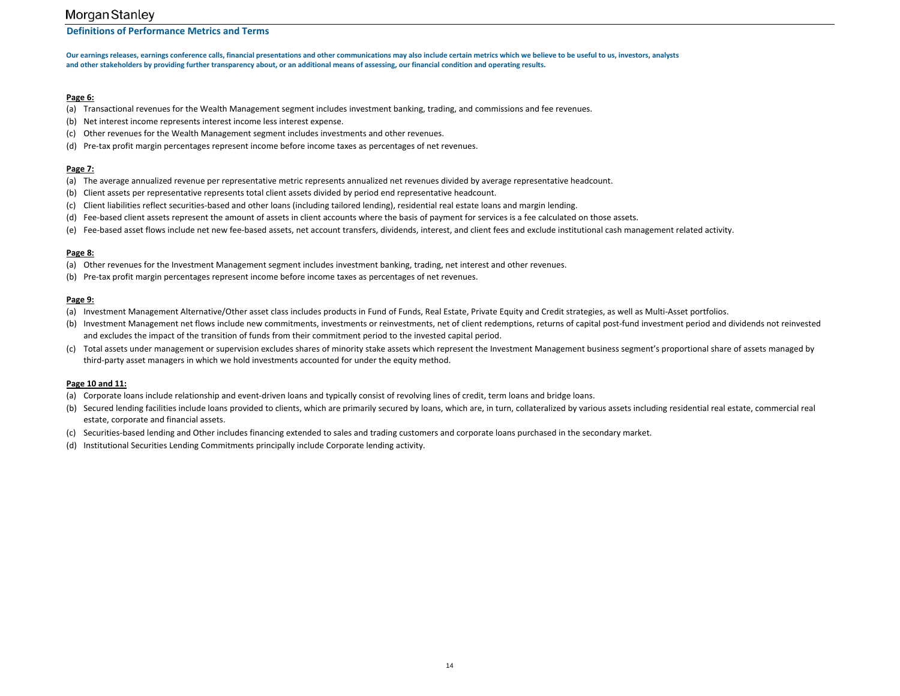#### **Definitions of Performance Metrics and Terms**

Our earnings releases, earnings conference calls, financial presentations and other communications may also include certain metrics which we believe to be useful to us, investors, analysts and other stakeholders by providing further transparency about, or an additional means of assessing, our financial condition and operating results.

#### **Page 6:**

- (a) Transactional revenues for the Wealth Management segment includes investment banking, trading, and commissions and fee revenues.
- (b) Net interest income represents interest income less interest expense.
- (c) Other revenues for the Wealth Management segment includes investments and other revenues.
- (d) Pre-tax profit margin percentages represent income before income taxes as percentages of net revenues.

#### **Page 7:**

- (a) The average annualized revenue per representative metric represents annualized net revenues divided by average representative headcount.
- (b) Client assets per representative represents total client assets divided by period end representative headcount.
- (c) Client liabilities reflect securities‐based and other loans (including tailored lending), residential real estate loans and margin lending.
- (d) Fee‐based client assets represent the amount of assets in client accounts where the basis of payment for services is <sup>a</sup> fee calculated on those assets.
- (e) Fee‐based asset flows include net new fee‐based assets, net account transfers, dividends, interest, and client fees and exclude institutional cash management related activity.

#### **Page 8:**

- (a) Other revenues for the Investment Management segment includes investment banking, trading, net interest and other revenues.
- (b) Pre‐tax profit margin percentages represent income before income taxes as percentages of net revenues.

#### **Page 9:**

- (a) Investment Management Alternative/Other asset class includes products in Fund of Funds, Real Estate, Private Equity and Credit strategies, as well as Multi‐Asset portfolios.
- (b) Investment Management net flows include new commitments, investments or reinvestments, net of client redemptions, returns of capital post‐fund investment period and dividends not reinvested and excludes the impact of the transition of funds from their commitment period to the invested capital period.
- (c) Total assets under management or supervision excludes shares of minority stake assets which represent the Investment Management business segment's proportional share of assets managed by third-party asset managers in which we hold investments accounted for under the equity method.

#### **Page 10 and 11:**

- (a) Corporate loans include relationship and event‐driven loans and typically consist of revolving lines of credit, term loans and bridge loans.
- (b) Secured lending facilities include loans provided to clients, which are primarily secured by loans, which are, in turn, collateralized by various assets including residential real estate, commercial real estate, corporate and financial assets.
- (c) Securities‐based lending and Other includes financing extended to sales and trading customers and corporate loans purchased in the secondary market.
- (d) Institutional Securities Lending Commitments principally include Corporate lending activity.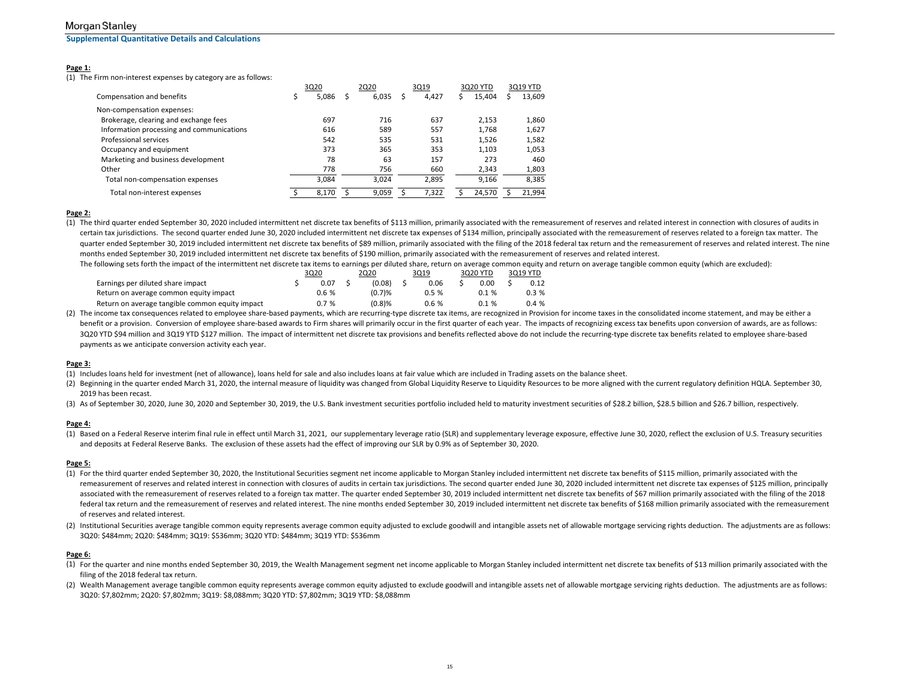**Supplemental Quantitative Details and Calculations**

#### **Page 1:**

(1) The Firm non‐interest expenses by category are as follows:

|                                           |  | 3Q20  |   | 2Q20  |  | 3Q19  |  | 3Q20 YTD |  | 3Q19 YTD |  |
|-------------------------------------------|--|-------|---|-------|--|-------|--|----------|--|----------|--|
| Compensation and benefits                 |  | 5,086 | s | 6,035 |  | 4,427 |  | 15,404   |  | 13,609   |  |
| Non-compensation expenses:                |  |       |   |       |  |       |  |          |  |          |  |
| Brokerage, clearing and exchange fees     |  | 697   |   | 716   |  | 637   |  | 2.153    |  | 1,860    |  |
| Information processing and communications |  | 616   |   | 589   |  | 557   |  | 1.768    |  | 1,627    |  |
| Professional services                     |  | 542   |   | 535   |  | 531   |  | 1,526    |  | 1,582    |  |
| Occupancy and equipment                   |  | 373   |   | 365   |  | 353   |  | 1,103    |  | 1,053    |  |
| Marketing and business development        |  | 78    |   | 63    |  | 157   |  | 273      |  | 460      |  |
| Other                                     |  | 778   |   | 756   |  | 660   |  | 2,343    |  | 1,803    |  |
| Total non-compensation expenses           |  | 3.084 |   | 3.024 |  | 2,895 |  | 9,166    |  | 8,385    |  |
| Total non-interest expenses               |  | 8.170 |   | 9,059 |  | 7,322 |  | 24,570   |  | 21,994   |  |
|                                           |  |       |   |       |  |       |  |          |  |          |  |

#### **Page 2:**

(1) The third quarter ended September 30, 2020 included intermittent net discrete tax benefits of \$113 million, primarily associated with the remeasurement of reserves and related interest in connection with closures of au certain tax jurisdictions. The second quarter ended June 30, 2020 included intermittent net discrete tax expenses of \$134 million, principally associated with the remeasurement of reserves related to a foreign tax matter. quarter ended September 30, 2019 included intermittent net discrete tax benefits of \$89 million, primarily associated with the filing of the 2018 federal tax return and the remeasurement of reserves and related interest. T months ended September 30, 2019 included intermittent net discrete tax benefits of \$190 million, primarily associated with the remeasurement of reserves and related interest.

The following sets forth the impact of the intermittent net discrete tax items to earnings per diluted share, return on average common equity and return on average tangible common equity (which are excluded):

|                                                 | 3Q20 |       | 2Q20 |        | 3Q19 |      | 3020 YTD |          | 3019 YTD |      |
|-------------------------------------------------|------|-------|------|--------|------|------|----------|----------|----------|------|
| Earnings per diluted share impact               |      | 0.07  |      | (0.08) |      | 0.06 |          | 0.00     |          | 0.12 |
| Return on average common equity impact          |      | 0.6 % |      | (0.7)% |      | 0.5% |          | $0.1 \%$ |          | 0.3% |
| Return on average tangible common equity impact |      | 0.7%  |      | (0.8)% |      | 0.6% |          | 0.1%     |          | 0.4% |

(2) The income tax consequences related to employee share‐based payments, which are recurring‐type discrete tax items, are recognized in Provision for income taxes in the consolidated income statement, and may be either a benefit or a provision. Conversion of employee share-based awards to Firm shares will primarily occur in the first quarter of each year. The impacts of recognizing excess tax benefits upon conversion of awards, are as foll 3Q20 YTD \$94 million and 3Q19 YTD \$127 million. The impact of intermittent net discrete tax provisions and benefits reflected above do not include the recurring-type discrete tax benefits related to employee share‐based payments as we anticipate conversion activity each year.

#### **Page 3:**

- (1) Includes loans held for investment (net of allowance), loans held for sale and also includes loans at fair value which are included in Trading assets on the balance sheet.
- (2) Beginning in the quarter ended March 31, 2020, the internal measure of liquidity was changed from Global Liquidity Reserve to Liquidity Resources to be more aligned with the current regulatory definition HQLA. Septembe 2019 has been recast.
- (3) As of September 30, 2020, June 30, 2020 and September 30, 2019, the U.S. Bank investment securities portfolio included held to maturity investment securities of \$28.2 billion, \$28.5 billion and \$26.7 billion, respectiv

#### **Page 4:**

(1) Based on a Federal Reserve interim final rule in effect until March 31, 2021, our supplementary leverage ratio (SLR) and supplementary leverage exposure, effective June 30, 2020, reflect the exclusion of U.S. Treasury and deposits at Federal Reserve Banks. The exclusion of these assets had the effect of improving our SLR by 0.9% as of September 30, 2020.

#### **Page 5:**

- (1) For the third quarter ended September 30, 2020, the Institutional Securities segment net income applicable to Morgan Stanley included intermittent net discrete tax benefits of \$115 million, primarily associated with the remeasurement of reserves and related interest in connection with closures of audits in certain tax jurisdictions. The second quarter ended June 30, 2020 included intermittent net discrete tax expenses of \$125 million, pri associated with the remeasurement of reserves related to a foreign tax matter. The quarter ended September 30, 2019 included intermittent net discrete tax benefits of \$67 million primarily associated with the filing of the federal tax return and the remeasurement of reserves and related interest. The nine months ended September 30, 2019 included intermittent net discrete tax benefits of \$168 million primarily associated with the remeasurement of reserves and related interest.
- (2) Institutional Securities average tangible common equity represents average common equity adjusted to exclude goodwill and intangible assets net of allowable mortgage servicing rights deduction. The adjustments are as f 3Q20: \$484mm; 2Q20: \$484mm; 3Q19: \$536mm; 3Q20 YTD: \$484mm; 3Q19 YTD: \$536mm

#### **Page 6:**

- (1) For the quarter and nine months ended September 30, 2019, the Wealth Management segment net income applicable to Morgan Stanley included intermittent net discrete tax benefits of \$13 million primarily associated with the filing of the 2018 federal tax return.
- (2) Wealth Management average tangible common equity represents average common equity adjusted to exclude goodwill and intangible assets net of allowable mortgage servicing rights deduction. The adjustments are as follows: 3Q20: \$7,802mm; 2Q20: \$7,802mm; 3Q19: \$8,088mm; 3Q20 YTD: \$7,802mm; 3Q19 YTD: \$8,088mm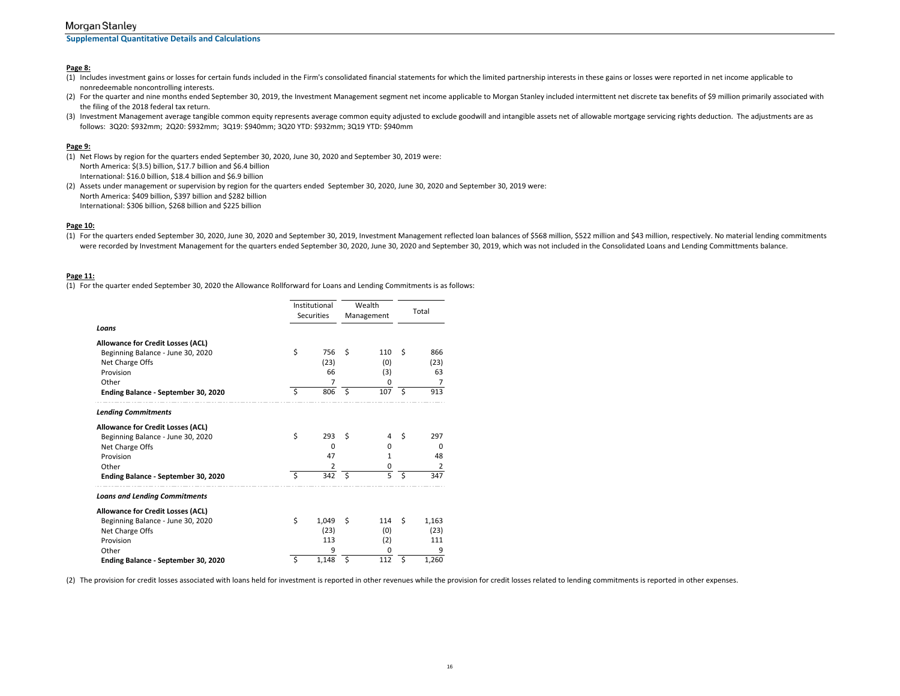**Supplemental Quantitative Details and Calculations**

#### **Page 8:**

- (1) Includes investment gains or losses for certain funds included in the Firm's consolidated financial statements for which the limited partnership interests in these gains or losses were reported in net income applicable nonredeemable noncontrolling interests.
- (2) For the quarter and nine months ended September 30, 2019, the Investment Management segment net income applicable to Morgan Stanley included intermittent net discrete tax benefits of \$9 million primarily associated with the filing of the 2018 federal tax return.
- (3) Investment Management average tangible common equity represents average common equity adjusted to exclude goodwill and intangible assets net of allowable mortgage servicing rights deduction. The adjustments are as follows: 3Q20: \$932mm; 2Q20: \$932mm; 3Q19: \$940mm; 3Q20 YTD: \$932mm; 3Q19 YTD: \$940mm

#### **Page 9:**

- (1) Net Flows by region for the quarters ended September 30, 2020, June 30, 2020 and September 30, 2019 were: North America: \$(3.5) billion, \$17.7 billion and \$6.4 billion International: \$16.0 billion, \$18.4 billion and \$6.9 billion
- (2) Assets under management or supervision by region for the quarters ended September 30, 2020, June 30, 2020 and September 30, 2019 were: North America: \$409 billion, \$397 billion and \$282 billion International: \$306 billion, \$268 billion and \$225 billion

#### **Page 10:**

(1) For the quarters ended September 30, 2020, June 30, 2020 and September 30, 2019, Investment Management reflected loan balances of \$568 million, \$522 million and \$43 million, respectively. No material lending commitments were recorded by Investment Management for the quarters ended September 30, 2020, June 30, 2020 and September 30, 2019, which was not included in the Consolidated Loans and Lending Committments balance.

#### **Page 11:**

(1) For the quarter ended September 30, 2020 the Allowance Rollforward for Loans and Lending Commitments is as follows:

|                                      | Institutional     |          | Wealth     | Total |    |       |  |
|--------------------------------------|-------------------|----------|------------|-------|----|-------|--|
|                                      | <b>Securities</b> |          | Management |       |    |       |  |
| Loans                                |                   |          |            |       |    |       |  |
| Allowance for Credit Losses (ACL)    |                   |          |            |       |    |       |  |
| Beginning Balance - June 30, 2020    | \$                | 756      | Ŝ          | 110   | Ś  | 866   |  |
| Net Charge Offs                      |                   | (23)     |            | (0)   |    | (23)  |  |
| Provision                            |                   | 66       |            | (3)   |    | 63    |  |
| Other                                |                   | 7        |            | 0     |    |       |  |
| Ending Balance - September 30, 2020  | Ś                 | 806      | \$         | 107   | \$ | 913   |  |
| <b>Lending Commitments</b>           |                   |          |            |       |    |       |  |
| Allowance for Credit Losses (ACL)    |                   |          |            |       |    |       |  |
| Beginning Balance - June 30, 2020    | \$                | 293      | Ŝ          | 4     | Ś  | 297   |  |
| Net Charge Offs                      |                   | $\Omega$ |            | 0     |    | 0     |  |
| Provision                            |                   | 47       |            | 1     |    | 48    |  |
| Other                                |                   | 2        |            | 0     |    | 2     |  |
| Ending Balance - September 30, 2020  | Ś                 | 342      | Ŝ.         | 5     | Ś  | 347   |  |
| <b>Loans and Lending Commitments</b> |                   |          |            |       |    |       |  |
| Allowance for Credit Losses (ACL)    |                   |          |            |       |    |       |  |
| Beginning Balance - June 30, 2020    | Ś                 | 1,049    | Ŝ          | 114   | Ś  | 1,163 |  |
| Net Charge Offs                      |                   | (23)     |            | (0)   |    | (23)  |  |
| Provision                            |                   | 113      |            | (2)   |    | 111   |  |
| Other                                |                   | 9        |            | 0     |    | 9     |  |
| Ending Balance - September 30, 2020  | Ś                 | 1,148    | Ś          | 112   | Ś  | 1,260 |  |

(2) The provision for credit losses associated with loans held for investment is reported in other revenues while the provision for credit losses related to lending commitments is reported in other expenses.